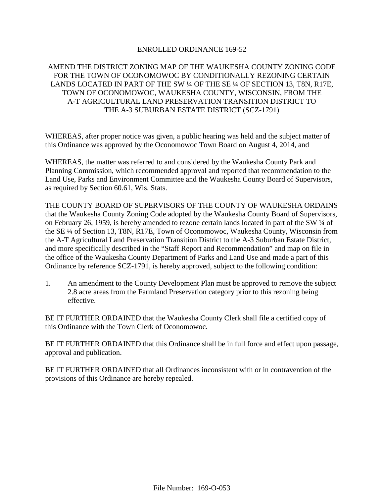## ENROLLED ORDINANCE 169-52

## AMEND THE DISTRICT ZONING MAP OF THE WAUKESHA COUNTY ZONING CODE FOR THE TOWN OF OCONOMOWOC BY CONDITIONALLY REZONING CERTAIN LANDS LOCATED IN PART OF THE SW ¼ OF THE SE ¼ OF SECTION 13, T8N, R17E, TOWN OF OCONOMOWOC, WAUKESHA COUNTY, WISCONSIN, FROM THE A-T AGRICULTURAL LAND PRESERVATION TRANSITION DISTRICT TO THE A-3 SUBURBAN ESTATE DISTRICT (SCZ-1791)

WHEREAS, after proper notice was given, a public hearing was held and the subject matter of this Ordinance was approved by the Oconomowoc Town Board on August 4, 2014, and

WHEREAS, the matter was referred to and considered by the Waukesha County Park and Planning Commission, which recommended approval and reported that recommendation to the Land Use, Parks and Environment Committee and the Waukesha County Board of Supervisors, as required by Section 60.61, Wis. Stats.

THE COUNTY BOARD OF SUPERVISORS OF THE COUNTY OF WAUKESHA ORDAINS that the Waukesha County Zoning Code adopted by the Waukesha County Board of Supervisors, on February 26, 1959, is hereby amended to rezone certain lands located in part of the SW ¼ of the SE ¼ of Section 13, T8N, R17E, Town of Oconomowoc, Waukesha County, Wisconsin from the A-T Agricultural Land Preservation Transition District to the A-3 Suburban Estate District, and more specifically described in the "Staff Report and Recommendation" and map on file in the office of the Waukesha County Department of Parks and Land Use and made a part of this Ordinance by reference SCZ-1791, is hereby approved, subject to the following condition:

1. An amendment to the County Development Plan must be approved to remove the subject 2.8 acre areas from the Farmland Preservation category prior to this rezoning being effective.

BE IT FURTHER ORDAINED that the Waukesha County Clerk shall file a certified copy of this Ordinance with the Town Clerk of Oconomowoc.

BE IT FURTHER ORDAINED that this Ordinance shall be in full force and effect upon passage, approval and publication.

BE IT FURTHER ORDAINED that all Ordinances inconsistent with or in contravention of the provisions of this Ordinance are hereby repealed.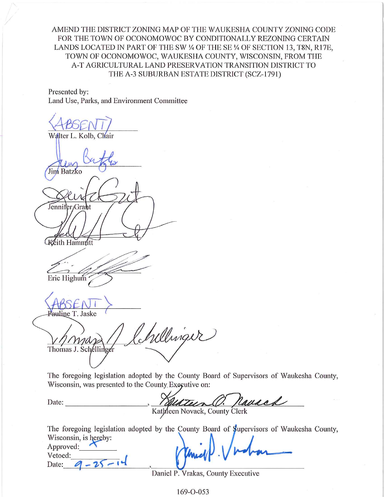AMEND THE DISTRICT ZONING MAP OF THE WAUKESHA COUNTY ZONING CODE FOR THE TOWN OF OCONOMOWOC BY CONDITIONALLY REZONING CERTAIN LANDS LOCATED IN PART OF THE SW 1/4 OF THE SE 1/4 OF SECTION 13, T8N, R17E, TOWN OF OCONOMOWOC, WAUKESHA COUNTY, WISCONSIN, FROM THE A-T AGRICULTURAL LAND PRESERVATION TRANSITION DISTRICT TO THE A-3 SUBURBAN ESTATE DISTRICT (SCZ-1791)

Presented by: Land Use, Parks, and Environment Committee

Walter L. Kolb, Chair Jim Batzko Jennifer/Graht Kéith Hammitt Eric Highum auline T. Jaske Irellinger Thomas J. Schellinger

The foregoing legislation adopted by the County Board of Supervisors of Waukesha County, Wisconsin, was presented to the County Executive on:

Date:

O. nausch ilun Kathleen Novack, County Clerk

The foregoing legislation adopted by the County Board of Supervisors of Waukesha County, Wisconsin, is hereby:

| Approved: |  |  |
|-----------|--|--|
| Vetoed:   |  |  |
| Date:     |  |  |

Daniel P. Vrakas, County Executive

 $169 - 0 - 053$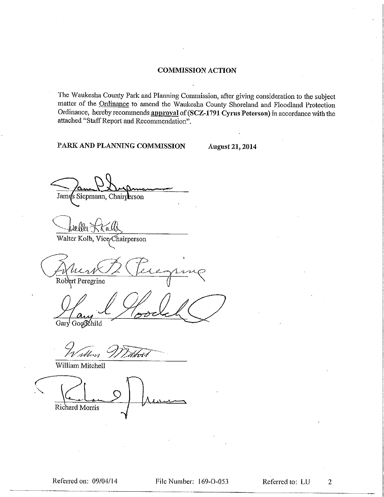## **COMMISSION ACTION**

The Waukesha County Park and Planning Commission, after giving consideration to the subject matter of the Ordinance to amend the Waukesha County Shoreland and Floodland Protection Ordinance, hereby recommends approval of (SCZ-1791 Cyrus Peterson) in accordance with the attached "Staff Report and Recommendation".

PARK AND PLANNING COMMISSION

**August 21, 2014** 

James Siepmann, Chairperson

Walter Kolb, Vice/Chairperson

Robert Peregrine

 $\Delta$ Gary Googdchild

Tibbon Udrtu

William Mitchell

Richard Morris

 $\overline{2}$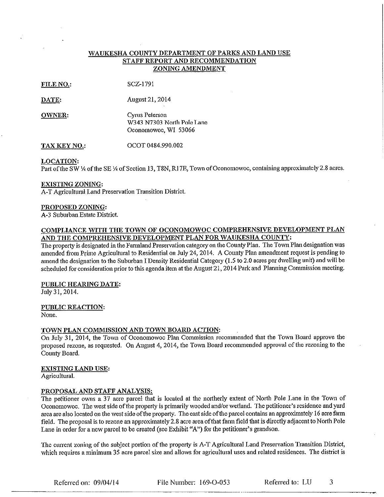## WAUKESHA COUNTY DEPARTMENT OF PARKS AND LAND USE STAFF REPORT AND RECOMMENDATION ZONING AMENDMENT

| FILE NO.: | SCZ-1791 |
|-----------|----------|
|           |          |

DATE: **August 21, 2014** 

Cyrus Peterson **OWNER:** W343 N7303 North Pole Lane Oconomowoc, WI 53066

OCOT 0484.990.002 TAX KEY NO.:

**LOCATION:** 

Part of the SW 1/4 of the SE 1/4 of Section 13, T8N, R17E, Town of Oconomowoc, containing approximately 2.8 acres.

#### **EXISTING ZONING:**

A-T Agricultural Land Preservation Transition District.

#### PROPOSED ZONING:

A-3 Suburban Estate District.

## COMPLIANCE WITH THE TOWN OF OCONOMOWOC COMPREHENSIVE DEVELOPMENT PLAN AND THE COMPREHENSIVE DEVELOPMENT PLAN FOR WAUKESHA COUNTY:

The property is designated in the Farmland Preservation category on the County Plan. The Town Plan designation was amended from Prime Agricultural to Residential on July 24, 2014. A County Plan amendment request is pending to amend the designation to the Suburban I Density Residential Category (1.5 to 2.0 acres per dwelling unit) and will be scheduled for consideration prior to this agenda item at the August 21, 2014 Park and Planning Commission meeting.

#### PUBLIC HEARING DATE:

July 31, 2014.

#### PUBLIC REACTION:

None.

#### TOWN PLAN COMMISSION AND TOWN BOARD ACTION:

On July 31, 2014, the Town of Oconomowoc Plan Commission recommended that the Town Board approve the proposed rezone, as requested. On August 4, 2014, the Town Board recommended approval of the rezoning to the County Board.

#### **EXISTING LAND USE:**

Agricultural.

#### PROPOSAL AND STAFF ANALYSIS:

The petitioner owns a 37 acre parcel that is located at the northerly extent of North Pole Lane in the Town of Oconomowoc. The west side of the property is primarily wooded and/or wetland. The petitioner's residence and yard area are also located on the west side of the property. The east side of the parcel contains an approximately 16 acre farm field. The proposal is to rezone an approximately 2.8 acre area of that farm field that is directly adjacent to North Pole Lane in order for a new parcel to be created (see Exhibit "A") for the petitioner's grandson.

The current zoning of the subject portion of the property is A-T Agricultural Land Preservation Transition District, which requires a minimum 35 acre parcel size and allows for agricultural uses and related residences. The district is

Referred on: 09/04/14

File Number: 169-O-053

Referred to: LU

3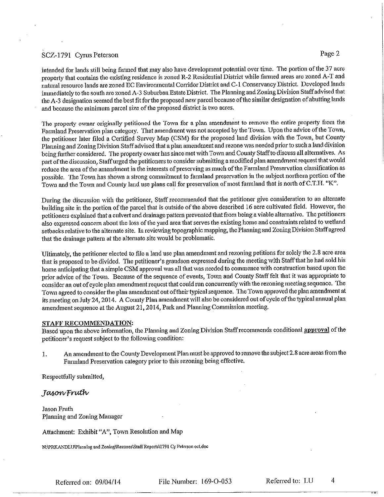### SCZ-1791 Cyrus Peterson

intended for lands still being farmed that may also have development potential over time. The portion of the 37 acre property that contains the existing residence is zoned R-2 Residential District while farmed areas are zoned A-T and natural resource lands are zoned EC Environmental Corridor District and C-1 Conservancy District. Developed lands immediately to the south are zoned A-3 Suburban Estate District. The Planning and Zoning Division Staff advised that the A-3 designation seemed the best fit for the proposed new parcel because of the similar designation of abutting lands and because the minimum parcel size of the proposed district is two acres.

The property owner originally petitioned the Town for a plan amendment to remove the entire property from the Farmland Preservation plan category. That amendment was not accepted by the Town. Upon the advice of the Town, the petitioner later filed a Certified Survey Map (CSM) for the proposed land division with the Town, but County Planning and Zoning Division Staff advised that a plan amendment and rezone was needed prior to such a land division being further considered. The property owner has since met with Town and County Staff to discuss all alternatives. As part of the discussion, Staff urged the petitioners to consider submitting a modified plan amendment request that would reduce the area of the amendment in the interests of preserving as much of the Farmland Preservation classification as possible. The Town has shown a strong commitment to farmland preservation in the subject northern portion of the Town and the Town and County land use plans call for preservation of most farmland that is north of C.T.H. "K".

During the discussion with the petitioner, Staff recommended that the petitioner give consideration to an alternate building site in the portion of the parcel that is outside of the above described 16 acre cultivated field. However, the petitioners explained that a culvert and drainage pattern prevented that from being a viable alternative. The petitioners also expressed concern about the loss of the yard area that serves the existing home and constraints related to wetland setbacks relative to the alternate site. In reviewing topographic mapping, the Planning and Zoning Division Staff agreed that the drainage pattern at the alternate site would be problematic.

Ultimately, the petitioner elected to file a land use plan amendment and rezoning petitions for solely the 2.8 acre area that is proposed to be divided. The petitioner's grandson expressed during the meeting with Staff that he had sold his home anticipating that a simple CSM approval was all that was needed to commence with construction based upon the prior advice of the Town. Because of the sequence of events, Town and County Staff felt that it was appropriate to consider an out of cycle plan amendment request that could run concurrently with the rezoning meeting sequence. The Town agreed to consider the plan amendment out of their typical sequence. The Town approved the plan amendment at its meeting on July 24, 2014. A County Plan amendment will also be considered out of cycle of the typical annual plan amendment sequence at the August 21, 2014, Park and Planning Commission meeting.

#### STAFF RECOMMENDATION:

Based upon the above information, the Planning and Zoning Division Staff recommends conditional approval of the petitioner's request subject to the following condition:

An amendment to the County Development Plan must be approved to remove the subject 2.8 acre areas from the 1. Farmland Preservation category prior to this rezoning being effective.

Respectfully submitted,

JasowFruth

Jason Fruth Planning and Zoning Manager

Attachment: Exhibit "A", Town Resolution and Map

N:\PRKANDLU\Planning and Zoning\Rezones\Staff Reports\1791 Cy Peterson oct.doc

Referred on:  $09/04/14$ 

File Number: 169-O-053

 $\overline{4}$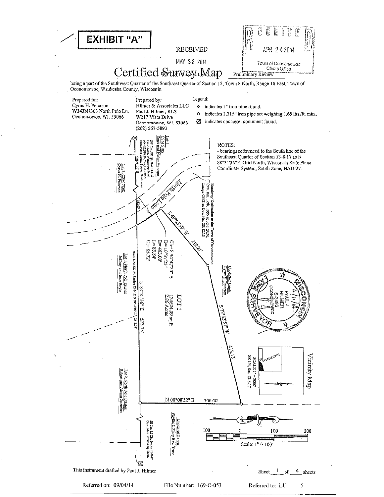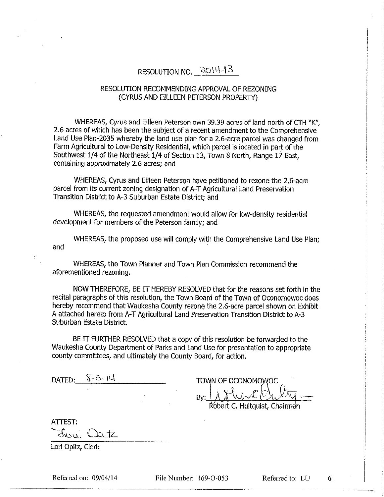# RESOLUTION NO. 2014-13

## RESOLUTION RECOMMENDING APPROVAL OF REZONING (CYRUS AND EILLEEN PETERSON PROPERTY)

WHEREAS, Cyrus and Eilieen Peterson own 39.39 acres of land north of CTH "K". 2.6 acres of which has been the subject of a recent amendment to the Comprehensive Land Use Plan-2035 whereby the land use plan for a 2.6-acre parcel was changed from Farm Agricultural to Low-Density Residential, which parcel is located in part of the Southwest 1/4 of the Northeast 1/4 of Section 13, Town 8 North, Range 17 East, containing approximately 2.6 acres: and

WHEREAS, Cyrus and Eilleen Peterson have petitioned to rezone the 2.6-acre parcel from its current zoning designation of A-T Agricultural Land Preservation Transition District to A-3 Suburban Estate District; and

WHEREAS, the requested amendment would allow for low-density residential development for members of the Peterson family; and

WHEREAS, the proposed use will comply with the Comprehensive Land Use Plan: and

WHEREAS, the Town Planner and Town Plan Commission recommend the aforementioned rezoning.

NOW THEREFORE, BE IT HEREBY RESOLVED that for the reasons set forth in the recital paragraphs of this resolution, the Town Board of the Town of Oconomowoc does hereby recommend that Waukesha County rezone the 2.6-acre parcel shown on Exhibit A attached hereto from A-T Agricultural Land Preservation Transition District to A-3 Suburban Estate District.

BE IT FURTHER RESOLVED that a copy of this resolution be forwarded to the Waukesha County Department of Parks and Land Use for presentation to appropriate county committees, and ultimately the County Board, for action.

|        | $8 - 5 - 14$ |  |
|--------|--------------|--|
| DATED: |              |  |

TOWN OF OCONOMOWOC By:

Robert C. Hultquist, Chairman

ATTEST:

dore L  $\Delta$ tz

Lori Opitz, Clerk

Referred on: 09/04/14

File Number: 169-O-053

Referred to: LU

 $6<sup>1</sup>$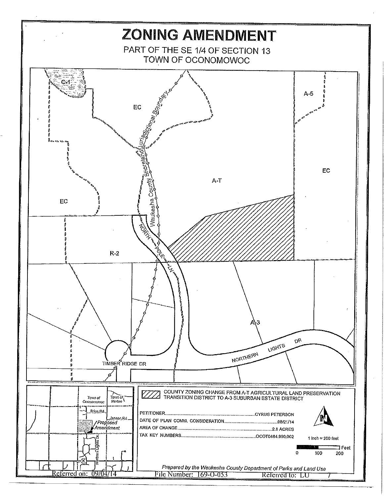